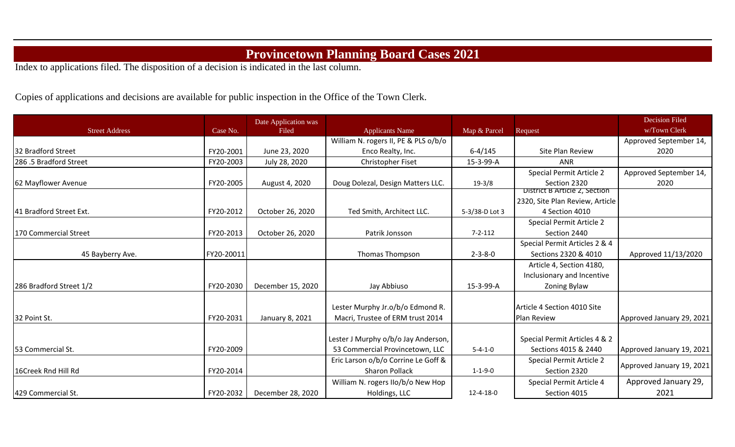## **Provincetown Planning Board Cases 2021**

Index to applications filed. The disposition of a decision is indicated in the last column.

Copies of applications and decisions are available for public inspection in the Office of the Town Clerk.

|                         |            | Date Application was |                                      |                 |                                 | <b>Decision Filed</b>     |
|-------------------------|------------|----------------------|--------------------------------------|-----------------|---------------------------------|---------------------------|
| <b>Street Address</b>   | Case No.   | Filed                | <b>Applicants Name</b>               | Map & Parcel    | Request                         | w/Town Clerk              |
|                         |            |                      | William N. rogers II, PE & PLS o/b/o |                 |                                 | Approved September 14,    |
| 32 Bradford Street      | FY20-2001  | June 23, 2020        | Enco Realty, Inc.                    | $6 - 4/145$     | Site Plan Review                | 2020                      |
| 286.5 Bradford Street   | FY20-2003  | July 28, 2020        | Christopher Fiset                    | 15-3-99-A       | ANR                             |                           |
|                         |            |                      |                                      |                 | Special Permit Article 2        | Approved September 14,    |
| 62 Mayflower Avenue     | FY20-2005  | August 4, 2020       | Doug Dolezal, Design Matters LLC.    | $19-3/8$        | Section 2320                    | 2020                      |
|                         |            |                      |                                      |                 | District B Article 2, Section   |                           |
|                         |            |                      |                                      |                 | 2320, Site Plan Review, Article |                           |
| 41 Bradford Street Ext. | FY20-2012  | October 26, 2020     | Ted Smith, Architect LLC.            | 5-3/38-D Lot 3  | 4 Section 4010                  |                           |
|                         |            |                      |                                      |                 | Special Permit Article 2        |                           |
| 170 Commercial Street   | FY20-2013  | October 26, 2020     | Patrik Jonsson                       | $7 - 2 - 112$   | Section 2440                    |                           |
|                         |            |                      |                                      |                 | Special Permit Articles 2 & 4   |                           |
| 45 Bayberry Ave.        | FY20-20011 |                      | <b>Thomas Thompson</b>               | $2 - 3 - 8 - 0$ | Sections 2320 & 4010            | Approved 11/13/2020       |
|                         |            |                      |                                      |                 | Article 4, Section 4180,        |                           |
|                         |            |                      |                                      |                 | Inclusionary and Incentive      |                           |
| 286 Bradford Street 1/2 | FY20-2030  | December 15, 2020    | Jay Abbiuso                          | 15-3-99-A       | Zoning Bylaw                    |                           |
|                         |            |                      |                                      |                 |                                 |                           |
|                         |            |                      | Lester Murphy Jr.o/b/o Edmond R.     |                 | Article 4 Section 4010 Site     |                           |
| 32 Point St.            | FY20-2031  | January 8, 2021      | Macri, Trustee of ERM trust 2014     |                 | Plan Review                     | Approved January 29, 2021 |
|                         |            |                      |                                      |                 |                                 |                           |
|                         |            |                      | Lester J Murphy o/b/o Jay Anderson,  |                 | Special Permit Articles 4 & 2   |                           |
| 53 Commercial St.       | FY20-2009  |                      | 53 Commercial Provincetown, LLC      | $5 - 4 - 1 - 0$ | Sections 4015 & 2440            | Approved January 19, 2021 |
|                         |            |                      | Eric Larson o/b/o Corrine Le Goff &  |                 | Special Permit Article 2        | Approved January 19, 2021 |
| 16Creek Rnd Hill Rd     | FY20-2014  |                      | <b>Sharon Pollack</b>                | $1 - 1 - 9 - 0$ | Section 2320                    |                           |
|                         |            |                      | William N. rogers IIo/b/o New Hop    |                 | Special Permit Article 4        | Approved January 29,      |
| 429 Commercial St.      | FY20-2032  | December 28, 2020    | Holdings, LLC                        | 12-4-18-0       | Section 4015                    | 2021                      |